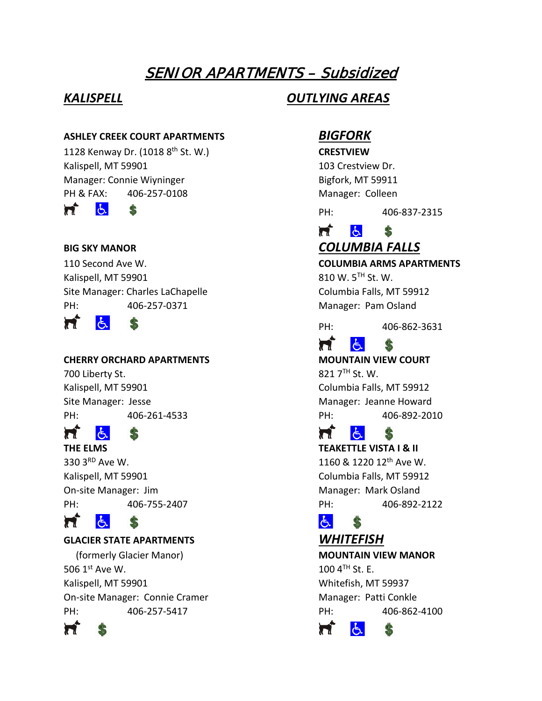# SENIOR APARTMENTS – Subsidized

### **ASHLEY CREEK COURT APARTMENTS** *BIGFORK*

1128 Kenway Dr. (1018 8th St. W.) **CRESTVIEW** Kalispell, MT 59901 103 Crestview Dr. Manager: Connie Wiyninger **Bigfork**, MT 59911 PH & FAX: 406-257-0108 Manager: Colleen

 $\sigma$ 'n \$

Kalispell, MT 59901  $810 \text{ W}$ .  $5^{\text{TH}}$  St. W. Site Manager: Charles LaChapelle Columbia Falls, MT 59912 PH: 406-257-0371 Manager: Pam Osland

π  $\mathbf{A}$ 

# **CHERRY ORCHARD APARTMENTS MOUNTAIN VIEW COURT**

700 Liberty St.  $821 \, 7^{TH}$  St. W. PH: 406-261-4533 PH: 406-892-2010

### 'n ŀЬ.

330 3<sup>RD</sup> Ave W. 2001 220 12th Ave W. Kalispell, MT 59901 Columbia Falls, MT 59912 On-site Manager: Jim Manager: Mark Osland

### Ħ 占

# **GLACIER STATE APARTMENTS** *WHITEFISH*

\$

 (formerly Glacier Manor) **MOUNTAIN VIEW MANOR** 506  $1^{\text{st}}$  Ave W. 100  $4^{\text{th}}$  St. E. Kalispell, MT 59901 Whitefish, MT 59937 On-site Manager: Connie Cramer Manager: Patti Conkle PH: 406-257-5417 PH: 406-862-4100



# *KALISPELL OUTLYING AREAS*

PH: 406-837-2315

### 'n  $\mathbf{r}$ \$ **BIG SKY MANOR** *COLUMBIA FALLS*

# 110 Second Ave W. **COLUMBIA ARMS APARTMENTS**

PH: 406-862-3631

### 占 Ħ \$

Kalispell, MT 59901 Columbia Falls, MT 59912 Site Manager: Jesse Manager: Jeanne Howard

### Ħ δ.

**THE ELMS TEAKETTLE VISTA I & II** PH: 406-755-2407 PH: 406-892-2122

### 占 \$

Ħ  $\mathcal{F}$ Ф